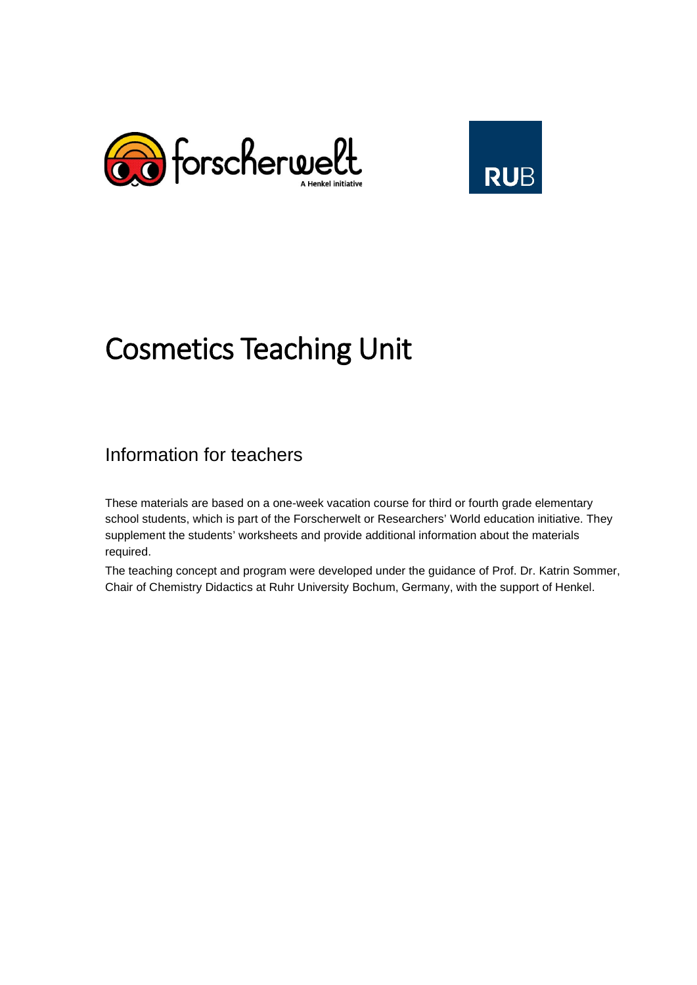



# Cosmetics Teaching Unit

# Information for teachers

These materials are based on a one-week vacation course for third or fourth grade elementary school students, which is part of the Forscherwelt or Researchers' World education initiative. They supplement the students' worksheets and provide additional information about the materials required.

The teaching concept and program were developed under the guidance of Prof. Dr. Katrin Sommer, Chair of Chemistry Didactics at Ruhr University Bochum, Germany, with the support of Henkel.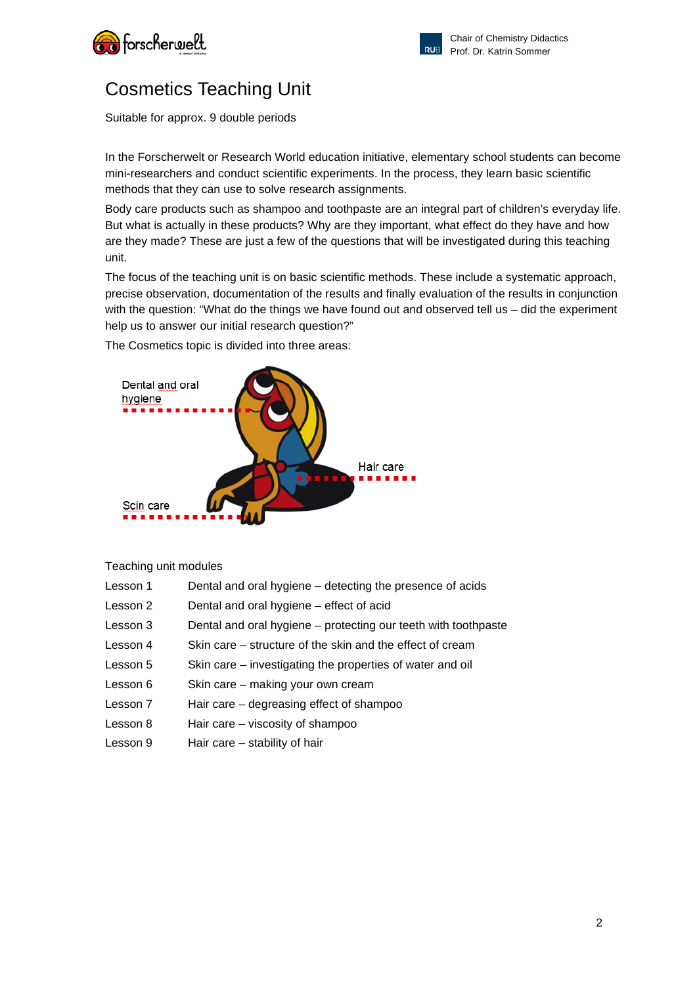![](_page_1_Picture_0.jpeg)

![](_page_1_Picture_1.jpeg)

# Cosmetics Teaching Unit

Suitable for approx. 9 double periods

In the Forscherwelt or Research World education initiative, elementary school students can become mini-researchers and conduct scientific experiments. In the process, they learn basic scientific methods that they can use to solve research assignments.

Body care products such as shampoo and toothpaste are an integral part of children's everyday life. But what is actually in these products? Why are they important, what effect do they have and how are they made? These are just a few of the questions that will be investigated during this teaching unit.

The focus of the teaching unit is on basic scientific methods. These include a systematic approach, precise observation, documentation of the results and finally evaluation of the results in conjunction with the question: "What do the things we have found out and observed tell us – did the experiment help us to answer our initial research question?"

The Cosmetics topic is divided into three areas:

![](_page_1_Picture_9.jpeg)

### Teaching unit modules

- Lesson 1 Dental and oral hygiene detecting the presence of acids
- Lesson 2 Dental and oral hygiene effect of acid
- Lesson 3 Dental and oral hygiene protecting our teeth with toothpaste
- Lesson 4 Skin care structure of the skin and the effect of cream
- Lesson 5 Skin care investigating the properties of water and oil
- Lesson 6 Skin care making your own cream
- Lesson 7 Hair care degreasing effect of shampoo
- Lesson 8 Hair care viscosity of shampoo
- Lesson 9 Hair care stability of hair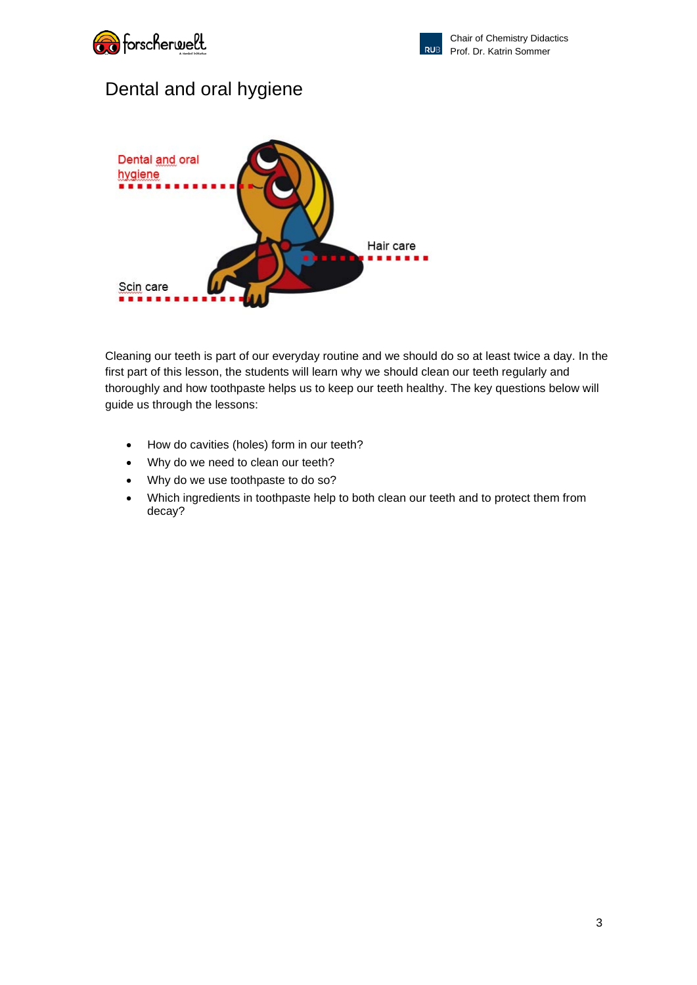![](_page_2_Picture_0.jpeg)

![](_page_2_Picture_1.jpeg)

# Dental and oral hygiene

![](_page_2_Picture_4.jpeg)

Cleaning our teeth is part of our everyday routine and we should do so at least twice a day. In the first part of this lesson, the students will learn why we should clean our teeth regularly and thoroughly and how toothpaste helps us to keep our teeth healthy. The key questions below will guide us through the lessons:

- How do cavities (holes) form in our teeth?
- Why do we need to clean our teeth?
- Why do we use toothpaste to do so?
- Which ingredients in toothpaste help to both clean our teeth and to protect them from decay?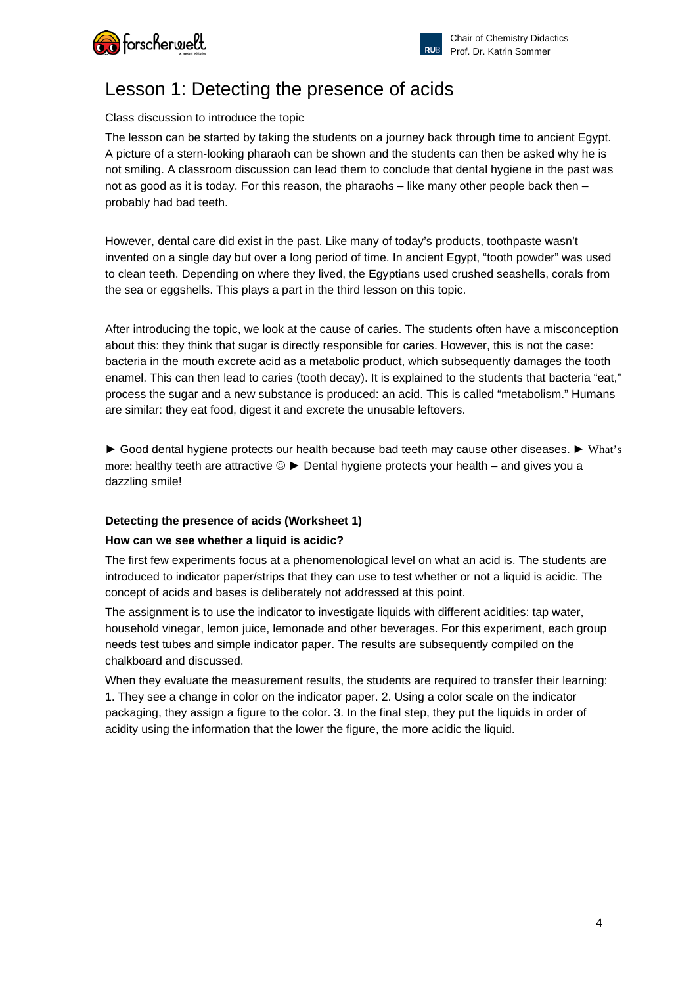![](_page_3_Picture_0.jpeg)

![](_page_3_Picture_1.jpeg)

# Lesson 1: Detecting the presence of acids

### Class discussion to introduce the topic

The lesson can be started by taking the students on a journey back through time to ancient Egypt. A picture of a stern-looking pharaoh can be shown and the students can then be asked why he is not smiling. A classroom discussion can lead them to conclude that dental hygiene in the past was not as good as it is today. For this reason, the pharaohs – like many other people back then – probably had bad teeth.

However, dental care did exist in the past. Like many of today's products, toothpaste wasn't invented on a single day but over a long period of time. In ancient Egypt, "tooth powder" was used to clean teeth. Depending on where they lived, the Egyptians used crushed seashells, corals from the sea or eggshells. This plays a part in the third lesson on this topic.

After introducing the topic, we look at the cause of caries. The students often have a misconception about this: they think that sugar is directly responsible for caries. However, this is not the case: bacteria in the mouth excrete acid as a metabolic product, which subsequently damages the tooth enamel. This can then lead to caries (tooth decay). It is explained to the students that bacteria "eat," process the sugar and a new substance is produced: an acid. This is called "metabolism." Humans are similar: they eat food, digest it and excrete the unusable leftovers.

► Good dental hygiene protects our health because bad teeth may cause other diseases. ► What's more: healthy teeth are attractive ► Dental hygiene protects your health – and gives you a dazzling smile!

### **Detecting the presence of acids (Worksheet 1)**

### **How can we see whether a liquid is acidic?**

The first few experiments focus at a phenomenological level on what an acid is. The students are introduced to indicator paper/strips that they can use to test whether or not a liquid is acidic. The concept of acids and bases is deliberately not addressed at this point.

The assignment is to use the indicator to investigate liquids with different acidities: tap water, household vinegar, lemon juice, lemonade and other beverages. For this experiment, each group needs test tubes and simple indicator paper. The results are subsequently compiled on the chalkboard and discussed.

When they evaluate the measurement results, the students are required to transfer their learning: 1. They see a change in color on the indicator paper. 2. Using a color scale on the indicator packaging, they assign a figure to the color. 3. In the final step, they put the liquids in order of acidity using the information that the lower the figure, the more acidic the liquid.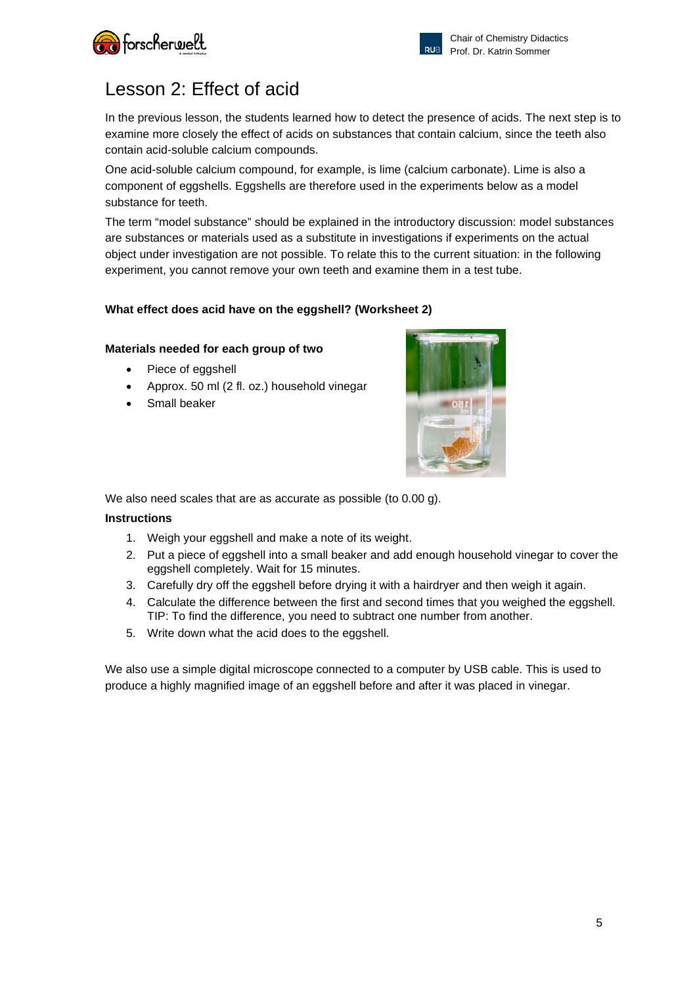![](_page_4_Picture_0.jpeg)

![](_page_4_Picture_1.jpeg)

# Lesson 2: Effect of acid

In the previous lesson, the students learned how to detect the presence of acids. The next step is to examine more closely the effect of acids on substances that contain calcium, since the teeth also contain acid-soluble calcium compounds.

One acid-soluble calcium compound, for example, is lime (calcium carbonate). Lime is also a component of eggshells. Eggshells are therefore used in the experiments below as a model substance for teeth.

The term "model substance" should be explained in the introductory discussion: model substances are substances or materials used as a substitute in investigations if experiments on the actual object under investigation are not possible. To relate this to the current situation: in the following experiment, you cannot remove your own teeth and examine them in a test tube.

# **What effect does acid have on the eggshell? (Worksheet 2)**

# **Materials needed for each group of two**

- Piece of eggshell
- Approx. 50 ml (2 fl. oz.) household vinegar
- Small beaker

![](_page_4_Picture_12.jpeg)

We also need scales that are as accurate as possible (to 0.00 q).

# **Instructions**

- 1. Weigh your eggshell and make a note of its weight.
- 2. Put a piece of eggshell into a small beaker and add enough household vinegar to cover the eggshell completely. Wait for 15 minutes.
- 3. Carefully dry off the eggshell before drying it with a hairdryer and then weigh it again.
- 4. Calculate the difference between the first and second times that you weighed the eggshell. TIP: To find the difference, you need to subtract one number from another.
- 5. Write down what the acid does to the eggshell.

We also use a simple digital microscope connected to a computer by USB cable. This is used to produce a highly magnified image of an eggshell before and after it was placed in vinegar.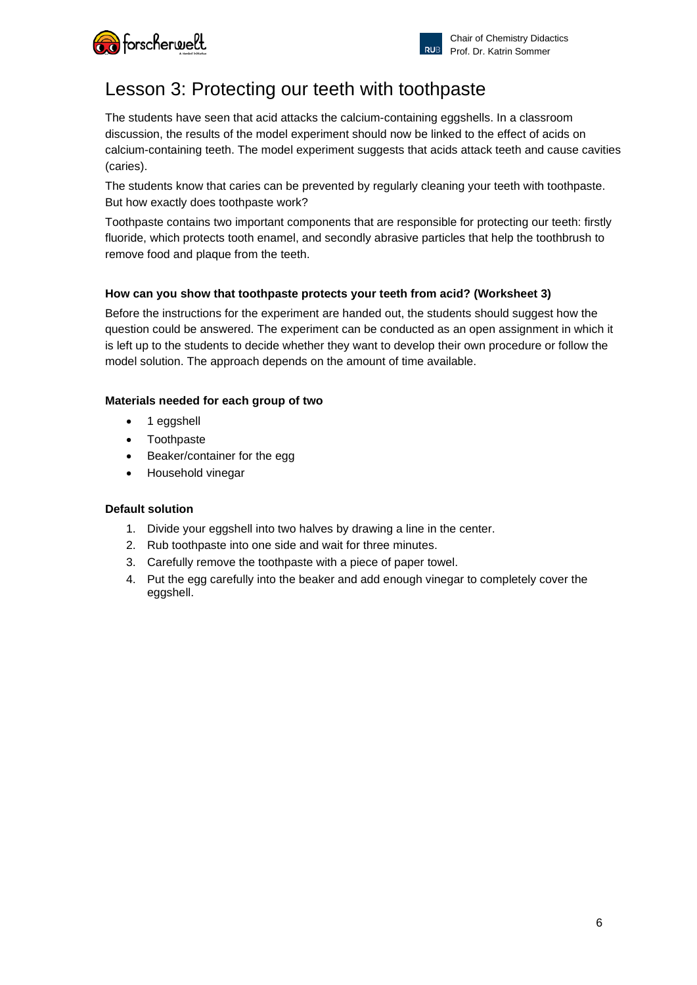![](_page_5_Picture_0.jpeg)

# Lesson 3: Protecting our teeth with toothpaste

The students have seen that acid attacks the calcium-containing eggshells. In a classroom discussion, the results of the model experiment should now be linked to the effect of acids on calcium-containing teeth. The model experiment suggests that acids attack teeth and cause cavities (caries).

The students know that caries can be prevented by regularly cleaning your teeth with toothpaste. But how exactly does toothpaste work?

Toothpaste contains two important components that are responsible for protecting our teeth: firstly fluoride, which protects tooth enamel, and secondly abrasive particles that help the toothbrush to remove food and plaque from the teeth.

# **How can you show that toothpaste protects your teeth from acid? (Worksheet 3)**

Before the instructions for the experiment are handed out, the students should suggest how the question could be answered. The experiment can be conducted as an open assignment in which it is left up to the students to decide whether they want to develop their own procedure or follow the model solution. The approach depends on the amount of time available.

# **Materials needed for each group of two**

- 1 eggshell
- Toothpaste
- Beaker/container for the egg
- Household vinegar

### **Default solution**

- 1. Divide your eggshell into two halves by drawing a line in the center.
- 2. Rub toothpaste into one side and wait for three minutes.
- 3. Carefully remove the toothpaste with a piece of paper towel.
- 4. Put the egg carefully into the beaker and add enough vinegar to completely cover the eggshell.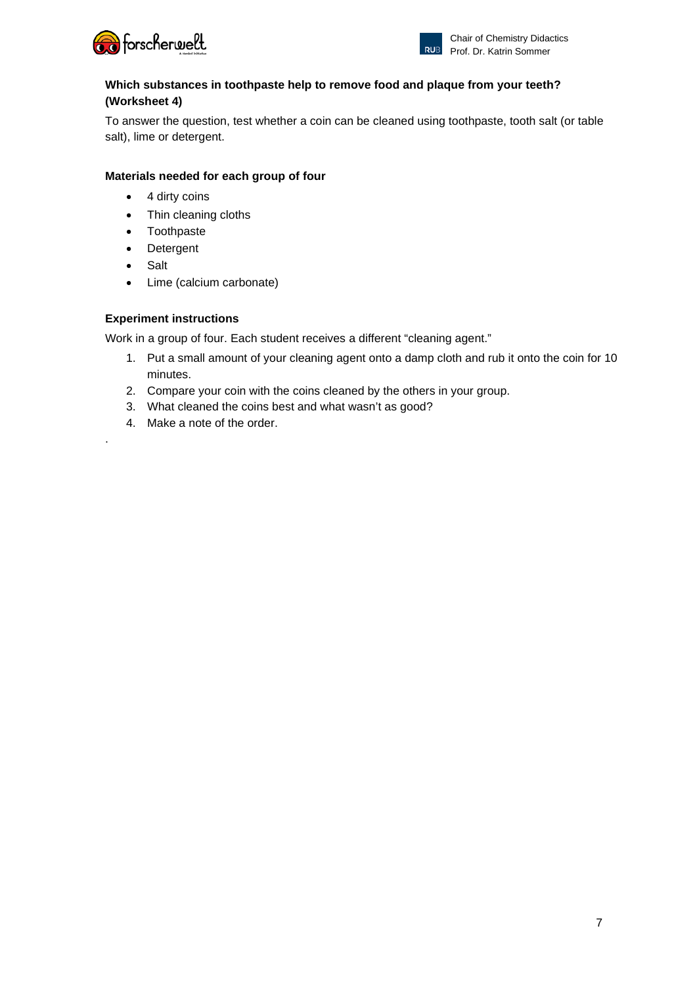![](_page_6_Picture_0.jpeg)

![](_page_6_Picture_1.jpeg)

# **Which substances in toothpaste help to remove food and plaque from your teeth? (Worksheet 4)**

To answer the question, test whether a coin can be cleaned using toothpaste, tooth salt (or table salt), lime or detergent.

# **Materials needed for each group of four**

- 4 dirty coins
- Thin cleaning cloths
- Toothpaste
- **Detergent**
- **Salt**

.

• Lime (calcium carbonate)

# **Experiment instructions**

Work in a group of four. Each student receives a different "cleaning agent."

- 1. Put a small amount of your cleaning agent onto a damp cloth and rub it onto the coin for 10 minutes.
- 2. Compare your coin with the coins cleaned by the others in your group.
- 3. What cleaned the coins best and what wasn't as good?
- 4. Make a note of the order.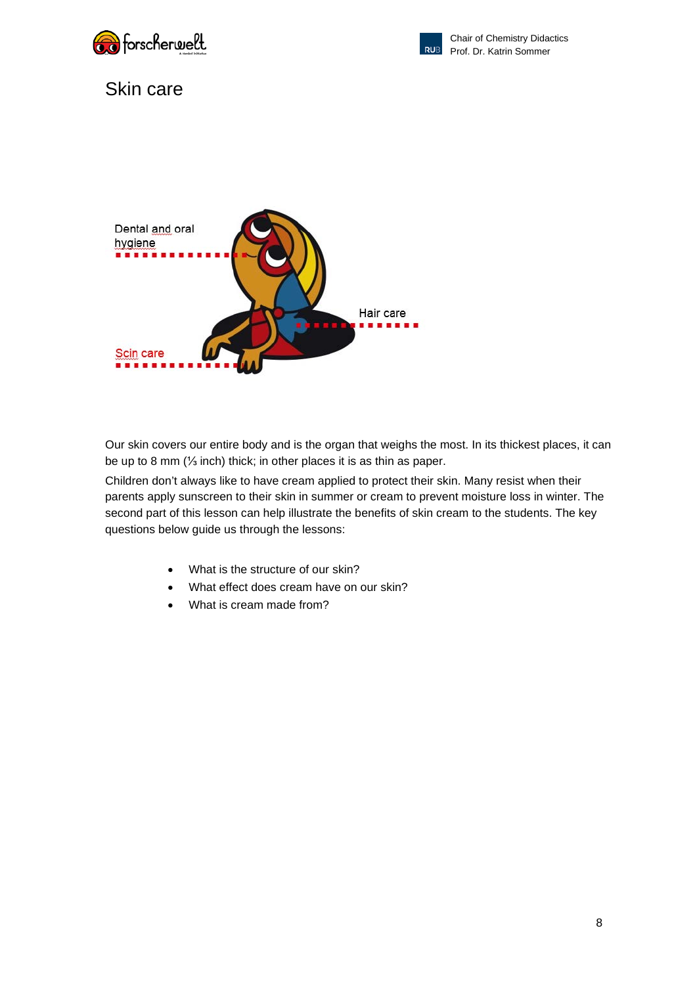![](_page_7_Picture_0.jpeg)

![](_page_7_Picture_1.jpeg)

# Skin care

![](_page_7_Picture_4.jpeg)

Our skin covers our entire body and is the organ that weighs the most. In its thickest places, it can be up to 8 mm (⅓ inch) thick; in other places it is as thin as paper.

Children don't always like to have cream applied to protect their skin. Many resist when their parents apply sunscreen to their skin in summer or cream to prevent moisture loss in winter. The second part of this lesson can help illustrate the benefits of skin cream to the students. The key questions below guide us through the lessons:

- What is the structure of our skin?
- What effect does cream have on our skin?
- What is cream made from?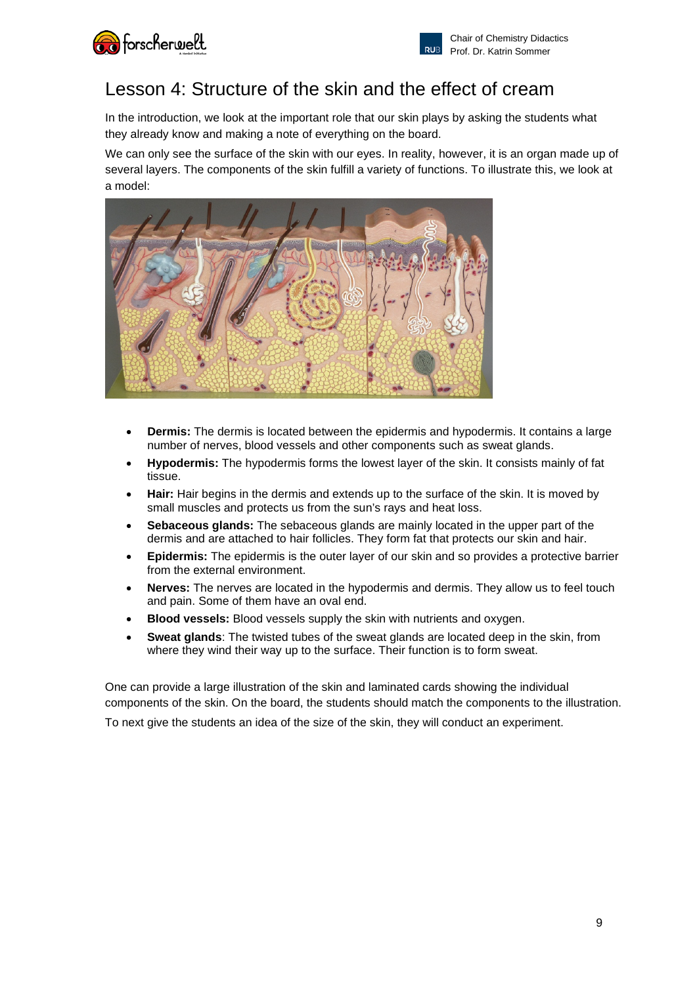![](_page_8_Picture_0.jpeg)

# Lesson 4: Structure of the skin and the effect of cream

In the introduction, we look at the important role that our skin plays by asking the students what they already know and making a note of everything on the board.

We can only see the surface of the skin with our eyes. In reality, however, it is an organ made up of several layers. The components of the skin fulfill a variety of functions. To illustrate this, we look at a model:

![](_page_8_Picture_5.jpeg)

- **Dermis:** The dermis is located between the epidermis and hypodermis. It contains a large number of nerves, blood vessels and other components such as sweat glands.
- **Hypodermis:** The hypodermis forms the lowest layer of the skin. It consists mainly of fat tissue.
- **Hair:** Hair begins in the dermis and extends up to the surface of the skin. It is moved by small muscles and protects us from the sun's rays and heat loss.
- **Sebaceous glands:** The sebaceous glands are mainly located in the upper part of the dermis and are attached to hair follicles. They form fat that protects our skin and hair.
- **Epidermis:** The epidermis is the outer layer of our skin and so provides a protective barrier from the external environment.
- **Nerves:** The nerves are located in the hypodermis and dermis. They allow us to feel touch and pain. Some of them have an oval end.
- **Blood vessels:** Blood vessels supply the skin with nutrients and oxygen.
- **Sweat glands**: The twisted tubes of the sweat glands are located deep in the skin, from where they wind their way up to the surface. Their function is to form sweat.

One can provide a large illustration of the skin and laminated cards showing the individual components of the skin. On the board, the students should match the components to the illustration.

To next give the students an idea of the size of the skin, they will conduct an experiment.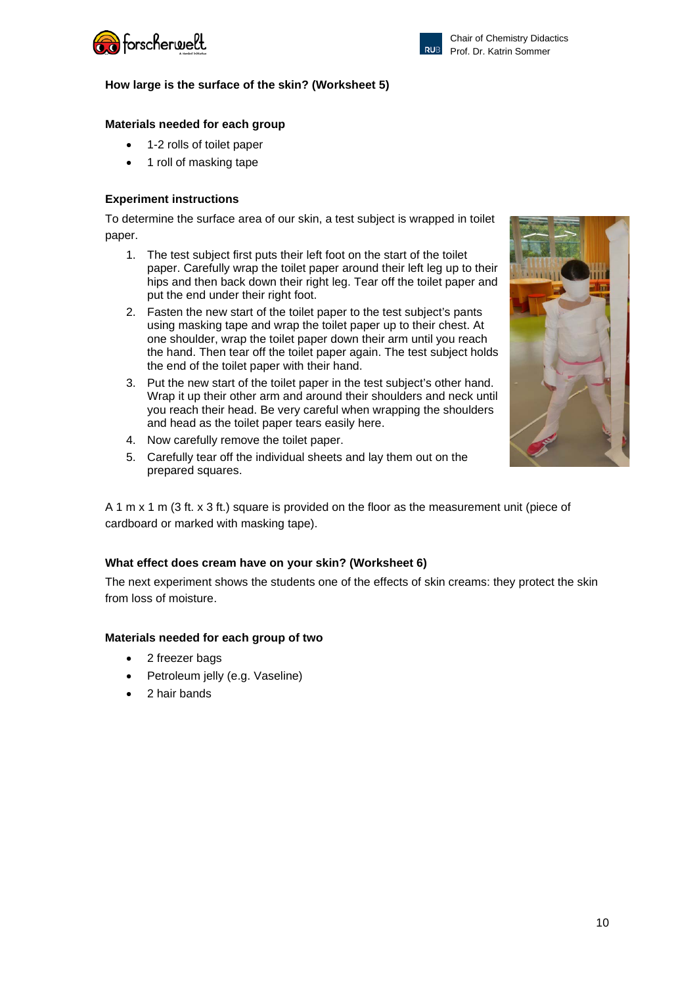![](_page_9_Picture_0.jpeg)

![](_page_9_Picture_1.jpeg)

# **How large is the surface of the skin? (Worksheet 5)**

# **Materials needed for each group**

- 1-2 rolls of toilet paper
- 1 roll of masking tape

# **Experiment instructions**

To determine the surface area of our skin, a test subject is wrapped in toilet paper.

- 1. The test subject first puts their left foot on the start of the toilet paper. Carefully wrap the toilet paper around their left leg up to their hips and then back down their right leg. Tear off the toilet paper and put the end under their right foot.
- 2. Fasten the new start of the toilet paper to the test subject's pants using masking tape and wrap the toilet paper up to their chest. At one shoulder, wrap the toilet paper down their arm until you reach the hand. Then tear off the toilet paper again. The test subject holds the end of the toilet paper with their hand.
- 3. Put the new start of the toilet paper in the test subject's other hand. Wrap it up their other arm and around their shoulders and neck until you reach their head. Be very careful when wrapping the shoulders and head as the toilet paper tears easily here.
- 4. Now carefully remove the toilet paper.
- 5. Carefully tear off the individual sheets and lay them out on the prepared squares.

A 1 m x 1 m (3 ft. x 3 ft.) square is provided on the floor as the measurement unit (piece of cardboard or marked with masking tape).

### **What effect does cream have on your skin? (Worksheet 6)**

The next experiment shows the students one of the effects of skin creams: they protect the skin from loss of moisture.

### **Materials needed for each group of two**

- 2 freezer bags
- Petroleum jelly (e.g. Vaseline)
- 2 hair bands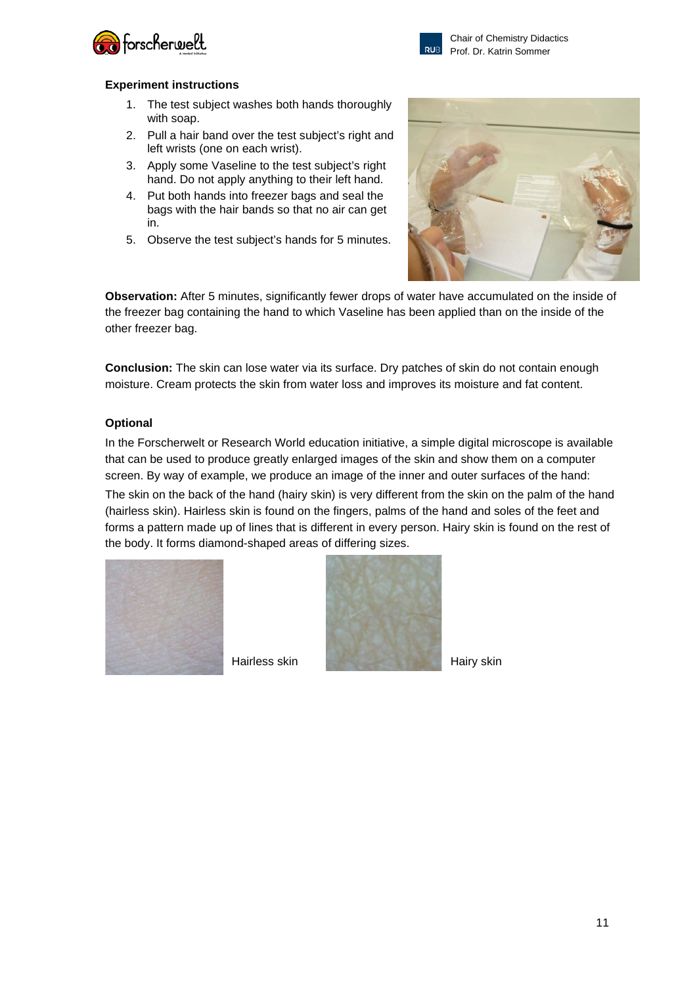![](_page_10_Picture_0.jpeg)

![](_page_10_Picture_1.jpeg)

#### **Experiment instructions**

- 1. The test subject washes both hands thoroughly with soap.
- 2. Pull a hair band over the test subject's right and left wrists (one on each wrist).
- 3. Apply some Vaseline to the test subject's right hand. Do not apply anything to their left hand.
- 4. Put both hands into freezer bags and seal the bags with the hair bands so that no air can get in.
- 5. Observe the test subject's hands for 5 minutes.

![](_page_10_Picture_9.jpeg)

**Observation:** After 5 minutes, significantly fewer drops of water have accumulated on the inside of the freezer bag containing the hand to which Vaseline has been applied than on the inside of the other freezer bag.

**Conclusion:** The skin can lose water via its surface. Dry patches of skin do not contain enough moisture. Cream protects the skin from water loss and improves its moisture and fat content.

#### **Optional**

In the Forscherwelt or Research World education initiative, a simple digital microscope is available that can be used to produce greatly enlarged images of the skin and show them on a computer screen. By way of example, we produce an image of the inner and outer surfaces of the hand: The skin on the back of the hand (hairy skin) is very different from the skin on the palm of the hand (hairless skin). Hairless skin is found on the fingers, palms of the hand and soles of the feet and forms a pattern made up of lines that is different in every person. Hairy skin is found on the rest of the body. It forms diamond-shaped areas of differing sizes.

![](_page_10_Figure_14.jpeg)

![](_page_10_Picture_16.jpeg)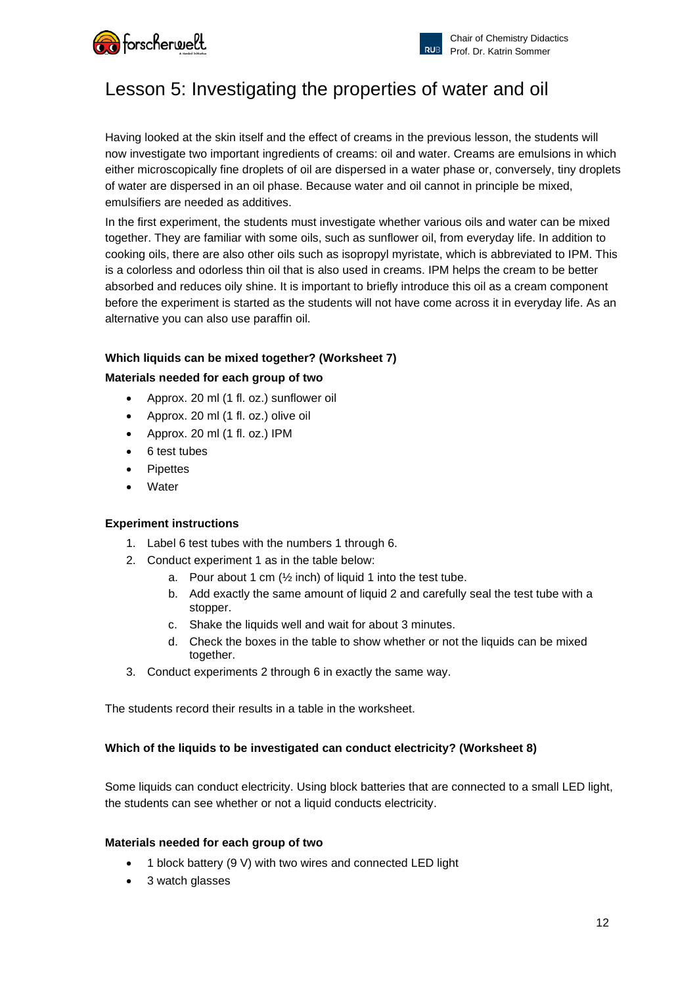![](_page_11_Picture_0.jpeg)

![](_page_11_Picture_1.jpeg)

# Lesson 5: Investigating the properties of water and oil

Having looked at the skin itself and the effect of creams in the previous lesson, the students will now investigate two important ingredients of creams: oil and water. Creams are emulsions in which either microscopically fine droplets of oil are dispersed in a water phase or, conversely, tiny droplets of water are dispersed in an oil phase. Because water and oil cannot in principle be mixed, emulsifiers are needed as additives.

In the first experiment, the students must investigate whether various oils and water can be mixed together. They are familiar with some oils, such as sunflower oil, from everyday life. In addition to cooking oils, there are also other oils such as isopropyl myristate, which is abbreviated to IPM. This is a colorless and odorless thin oil that is also used in creams. IPM helps the cream to be better absorbed and reduces oily shine. It is important to briefly introduce this oil as a cream component before the experiment is started as the students will not have come across it in everyday life. As an alternative you can also use paraffin oil.

### **Which liquids can be mixed together? (Worksheet 7)**

# **Materials needed for each group of two**

- Approx. 20 ml (1 fl. oz.) sunflower oil
- Approx. 20 ml (1 fl. oz.) olive oil
- Approx. 20 ml (1 fl. oz.) IPM
- 6 test tubes
- **Pipettes**
- **Water**

### **Experiment instructions**

- 1. Label 6 test tubes with the numbers 1 through 6.
- 2. Conduct experiment 1 as in the table below:
	- a. Pour about 1 cm  $(½$  inch) of liquid 1 into the test tube.
	- b. Add exactly the same amount of liquid 2 and carefully seal the test tube with a stopper.
	- c. Shake the liquids well and wait for about 3 minutes.
	- d. Check the boxes in the table to show whether or not the liquids can be mixed together.
- 3. Conduct experiments 2 through 6 in exactly the same way.

The students record their results in a table in the worksheet.

### **Which of the liquids to be investigated can conduct electricity? (Worksheet 8)**

Some liquids can conduct electricity. Using block batteries that are connected to a small LED light, the students can see whether or not a liquid conducts electricity.

#### **Materials needed for each group of two**

- 1 block battery (9 V) with two wires and connected LED light
- 3 watch glasses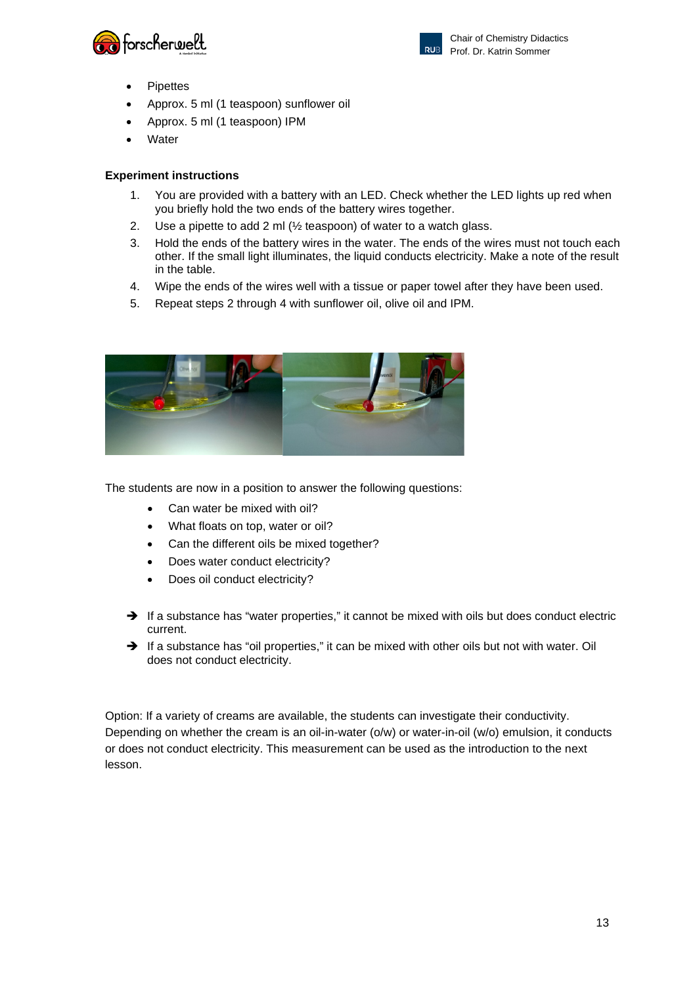![](_page_12_Picture_0.jpeg)

![](_page_12_Picture_1.jpeg)

- **Pipettes**
- Approx. 5 ml (1 teaspoon) sunflower oil
- Approx. 5 ml (1 teaspoon) IPM
- **Water**

# **Experiment instructions**

- 1. You are provided with a battery with an LED. Check whether the LED lights up red when you briefly hold the two ends of the battery wires together.
- 2. Use a pipette to add 2 ml (½ teaspoon) of water to a watch glass.
- 3. Hold the ends of the battery wires in the water. The ends of the wires must not touch each other. If the small light illuminates, the liquid conducts electricity. Make a note of the result in the table.
- 4. Wipe the ends of the wires well with a tissue or paper towel after they have been used.
- 5. Repeat steps 2 through 4 with sunflower oil, olive oil and IPM.

![](_page_12_Picture_13.jpeg)

The students are now in a position to answer the following questions:

- Can water be mixed with oil?
- What floats on top, water or oil?
- Can the different oils be mixed together?
- Does water conduct electricity?
- Does oil conduct electricity?
- $\rightarrow$  If a substance has "water properties," it cannot be mixed with oils but does conduct electric current.
- $\rightarrow$  If a substance has "oil properties," it can be mixed with other oils but not with water. Oil does not conduct electricity.

Option: If a variety of creams are available, the students can investigate their conductivity. Depending on whether the cream is an oil-in-water (o/w) or water-in-oil (w/o) emulsion, it conducts or does not conduct electricity. This measurement can be used as the introduction to the next lesson.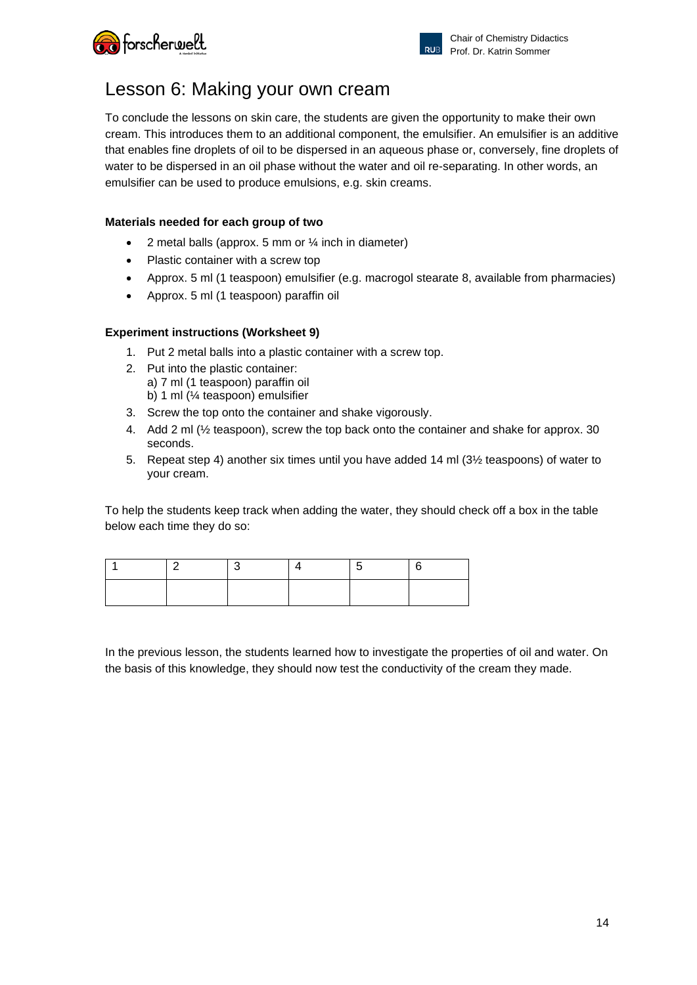![](_page_13_Picture_0.jpeg)

![](_page_13_Picture_1.jpeg)

# Lesson 6: Making your own cream

To conclude the lessons on skin care, the students are given the opportunity to make their own cream. This introduces them to an additional component, the emulsifier. An emulsifier is an additive that enables fine droplets of oil to be dispersed in an aqueous phase or, conversely, fine droplets of water to be dispersed in an oil phase without the water and oil re-separating. In other words, an emulsifier can be used to produce emulsions, e.g. skin creams.

# **Materials needed for each group of two**

- 2 metal balls (approx. 5 mm or  $\frac{1}{4}$  inch in diameter)
- Plastic container with a screw top
- Approx. 5 ml (1 teaspoon) emulsifier (e.g. macrogol stearate 8, available from pharmacies)
- Approx. 5 ml (1 teaspoon) paraffin oil

# **Experiment instructions (Worksheet 9)**

- 1. Put 2 metal balls into a plastic container with a screw top.
- 2. Put into the plastic container: a) 7 ml (1 teaspoon) paraffin oil b) 1 ml (¼ teaspoon) emulsifier
- 3. Screw the top onto the container and shake vigorously.
- 4. Add 2 ml (½ teaspoon), screw the top back onto the container and shake for approx. 30 seconds.
- 5. Repeat step 4) another six times until you have added 14 ml (3½ teaspoons) of water to your cream.

To help the students keep track when adding the water, they should check off a box in the table below each time they do so:

In the previous lesson, the students learned how to investigate the properties of oil and water. On the basis of this knowledge, they should now test the conductivity of the cream they made.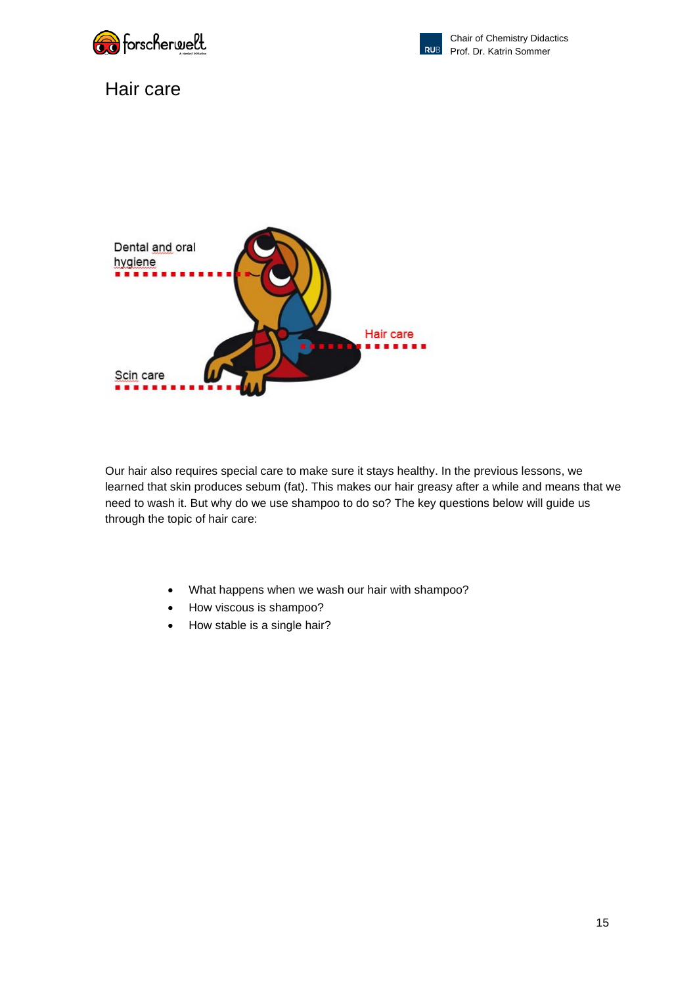![](_page_14_Picture_0.jpeg)

![](_page_14_Picture_1.jpeg)

# Hair care

![](_page_14_Picture_4.jpeg)

Our hair also requires special care to make sure it stays healthy. In the previous lessons, we learned that skin produces sebum (fat). This makes our hair greasy after a while and means that we need to wash it. But why do we use shampoo to do so? The key questions below will guide us through the topic of hair care:

- What happens when we wash our hair with shampoo?
- How viscous is shampoo?
- How stable is a single hair?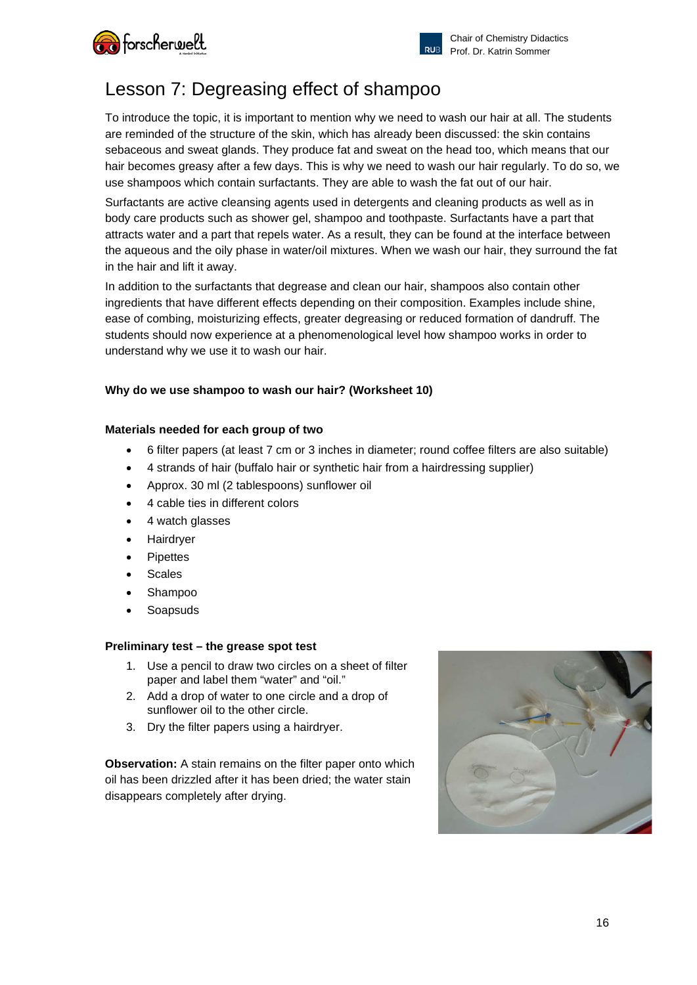![](_page_15_Picture_0.jpeg)

# Lesson 7: Degreasing effect of shampoo

To introduce the topic, it is important to mention why we need to wash our hair at all. The students are reminded of the structure of the skin, which has already been discussed: the skin contains sebaceous and sweat glands. They produce fat and sweat on the head too, which means that our hair becomes greasy after a few days. This is why we need to wash our hair regularly. To do so, we use shampoos which contain surfactants. They are able to wash the fat out of our hair.

Surfactants are active cleansing agents used in detergents and cleaning products as well as in body care products such as shower gel, shampoo and toothpaste. Surfactants have a part that attracts water and a part that repels water. As a result, they can be found at the interface between the aqueous and the oily phase in water/oil mixtures. When we wash our hair, they surround the fat in the hair and lift it away.

In addition to the surfactants that degrease and clean our hair, shampoos also contain other ingredients that have different effects depending on their composition. Examples include shine, ease of combing, moisturizing effects, greater degreasing or reduced formation of dandruff. The students should now experience at a phenomenological level how shampoo works in order to understand why we use it to wash our hair.

# **Why do we use shampoo to wash our hair? (Worksheet 10)**

# **Materials needed for each group of two**

- 6 filter papers (at least 7 cm or 3 inches in diameter; round coffee filters are also suitable)
- 4 strands of hair (buffalo hair or synthetic hair from a hairdressing supplier)
- Approx. 30 ml (2 tablespoons) sunflower oil
- 4 cable ties in different colors
- 4 watch glasses
- **Hairdryer**
- **Pipettes**
- **Scales**
- Shampoo
- **Soapsuds**

### **Preliminary test – the grease spot test**

- 1. Use a pencil to draw two circles on a sheet of filter paper and label them "water" and "oil."
- 2. Add a drop of water to one circle and a drop of sunflower oil to the other circle.
- 3. Dry the filter papers using a hairdryer.

**Observation:** A stain remains on the filter paper onto which oil has been drizzled after it has been dried; the water stain disappears completely after drying.

![](_page_15_Picture_23.jpeg)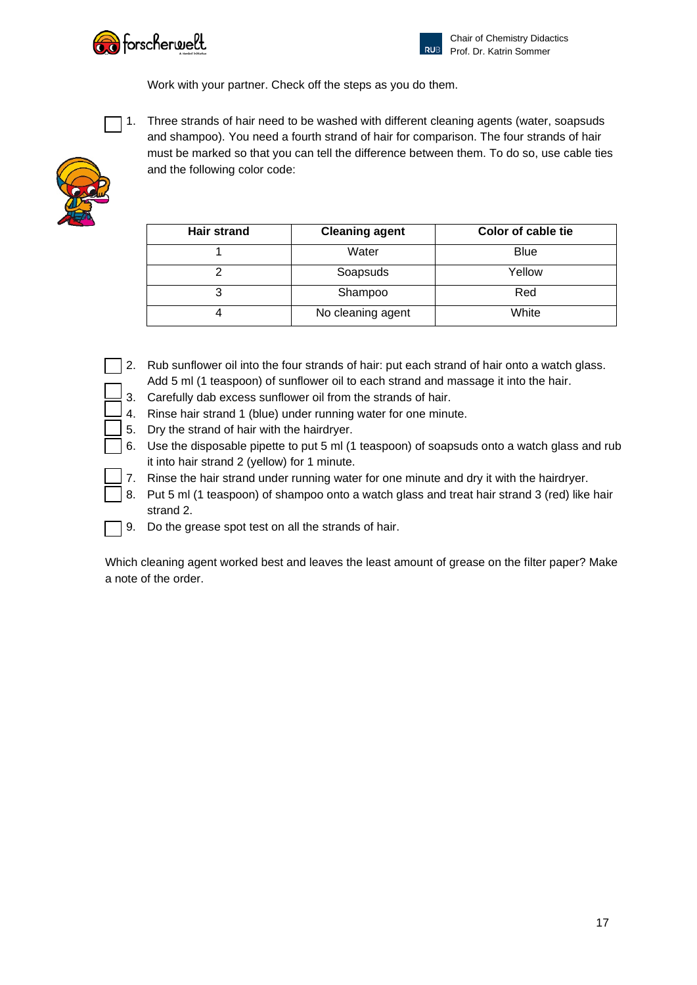![](_page_16_Picture_0.jpeg)

![](_page_16_Picture_1.jpeg)

Work with your partner. Check off the steps as you do them.

![](_page_16_Picture_4.jpeg)

1. Three strands of hair need to be washed with different cleaning agents (water, soapsuds and shampoo). You need a fourth strand of hair for comparison. The four strands of hair must be marked so that you can tell the difference between them. To do so, use cable ties and the following color code:

![](_page_16_Picture_6.jpeg)

| <b>Hair strand</b> | <b>Cleaning agent</b> | Color of cable tie |  |
|--------------------|-----------------------|--------------------|--|
|                    | Water                 | <b>Blue</b>        |  |
|                    | Soapsuds              | Yellow             |  |
|                    | Shampoo               | Red                |  |
|                    | No cleaning agent     | White              |  |

- 2. Rub sunflower oil into the four strands of hair: put each strand of hair onto a watch glass. Add 5 ml (1 teaspoon) of sunflower oil to each strand and massage it into the hair.
- 3. Carefully dab excess sunflower oil from the strands of hair.
- 4. Rinse hair strand 1 (blue) under running water for one minute.
- 5. Dry the strand of hair with the hairdryer.
- 6. Use the disposable pipette to put 5 ml (1 teaspoon) of soapsuds onto a watch glass and rub it into hair strand 2 (yellow) for 1 minute.
- 7. Rinse the hair strand under running water for one minute and dry it with the hairdryer.
- 8. Put 5 ml (1 teaspoon) of shampoo onto a watch glass and treat hair strand 3 (red) like hair strand 2.
- 9. Do the grease spot test on all the strands of hair.

Which cleaning agent worked best and leaves the least amount of grease on the filter paper? Make a note of the order.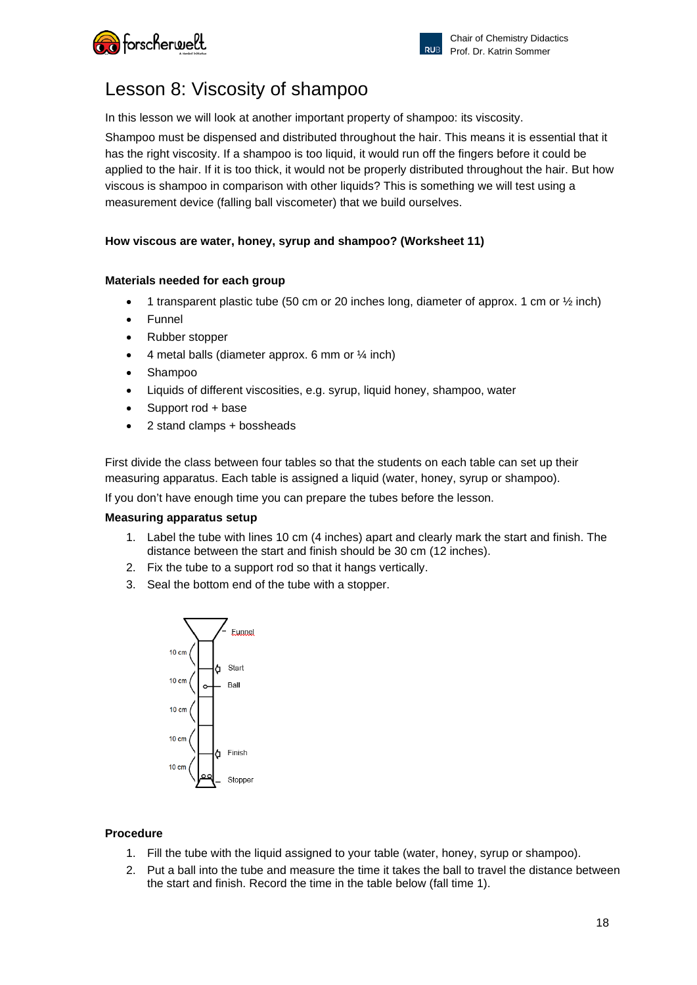![](_page_17_Picture_0.jpeg)

# Lesson 8: Viscosity of shampoo

In this lesson we will look at another important property of shampoo: its viscosity.

Shampoo must be dispensed and distributed throughout the hair. This means it is essential that it has the right viscosity. If a shampoo is too liquid, it would run off the fingers before it could be applied to the hair. If it is too thick, it would not be properly distributed throughout the hair. But how viscous is shampoo in comparison with other liquids? This is something we will test using a measurement device (falling ball viscometer) that we build ourselves.

# **How viscous are water, honey, syrup and shampoo? (Worksheet 11)**

# **Materials needed for each group**

- 1 transparent plastic tube (50 cm or 20 inches long, diameter of approx. 1 cm or  $\frac{1}{2}$  inch)
- Funnel
- Rubber stopper
- 4 metal balls (diameter approx. 6 mm or  $\frac{1}{4}$  inch)
- Shampoo
- Liquids of different viscosities, e.g. syrup, liquid honey, shampoo, water
- Support rod + base
- 2 stand clamps + bossheads

First divide the class between four tables so that the students on each table can set up their measuring apparatus. Each table is assigned a liquid (water, honey, syrup or shampoo).

If you don't have enough time you can prepare the tubes before the lesson.

### **Measuring apparatus setup**

- 1. Label the tube with lines 10 cm (4 inches) apart and clearly mark the start and finish. The distance between the start and finish should be 30 cm (12 inches).
- 2. Fix the tube to a support rod so that it hangs vertically.
- 3. Seal the bottom end of the tube with a stopper.

![](_page_17_Figure_22.jpeg)

### **Procedure**

- 1. Fill the tube with the liquid assigned to your table (water, honey, syrup or shampoo).
- 2. Put a ball into the tube and measure the time it takes the ball to travel the distance between the start and finish. Record the time in the table below (fall time 1).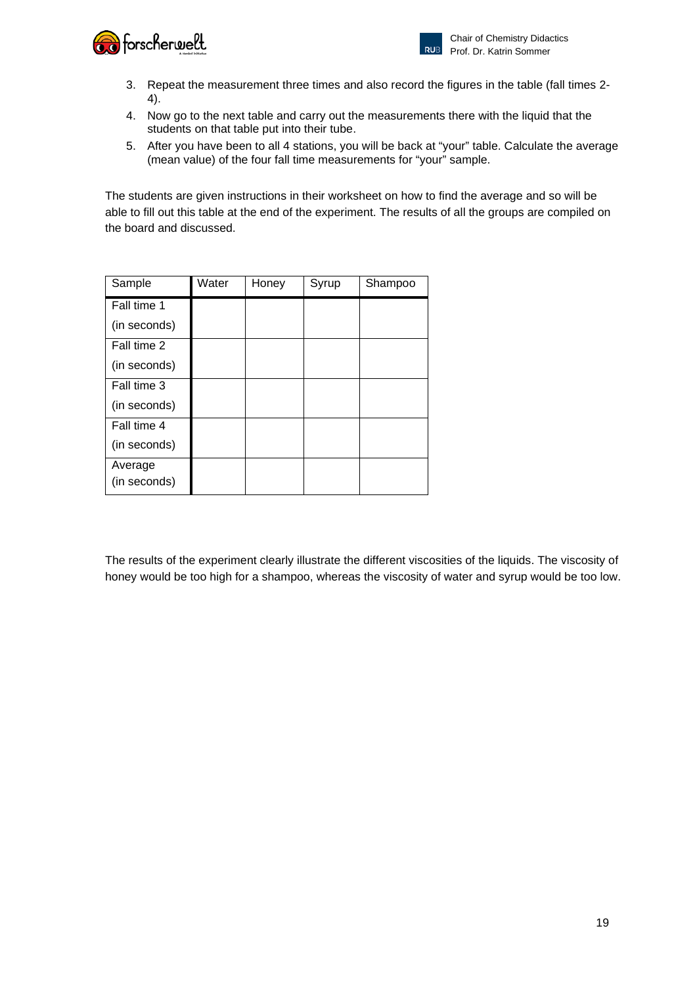![](_page_18_Picture_0.jpeg)

- 3. Repeat the measurement three times and also record the figures in the table (fall times 2- 4).
- 4. Now go to the next table and carry out the measurements there with the liquid that the students on that table put into their tube.
- 5. After you have been to all 4 stations, you will be back at "your" table. Calculate the average (mean value) of the four fall time measurements for "your" sample.

The students are given instructions in their worksheet on how to find the average and so will be able to fill out this table at the end of the experiment. The results of all the groups are compiled on the board and discussed.

| Sample                  | Water | Honey | Syrup | Shampoo |
|-------------------------|-------|-------|-------|---------|
| Fall time 1             |       |       |       |         |
| (in seconds)            |       |       |       |         |
| Fall time 2             |       |       |       |         |
| (in seconds)            |       |       |       |         |
| Fall time 3             |       |       |       |         |
| (in seconds)            |       |       |       |         |
| Fall time 4             |       |       |       |         |
| (in seconds)            |       |       |       |         |
| Average<br>(in seconds) |       |       |       |         |

The results of the experiment clearly illustrate the different viscosities of the liquids. The viscosity of honey would be too high for a shampoo, whereas the viscosity of water and syrup would be too low.